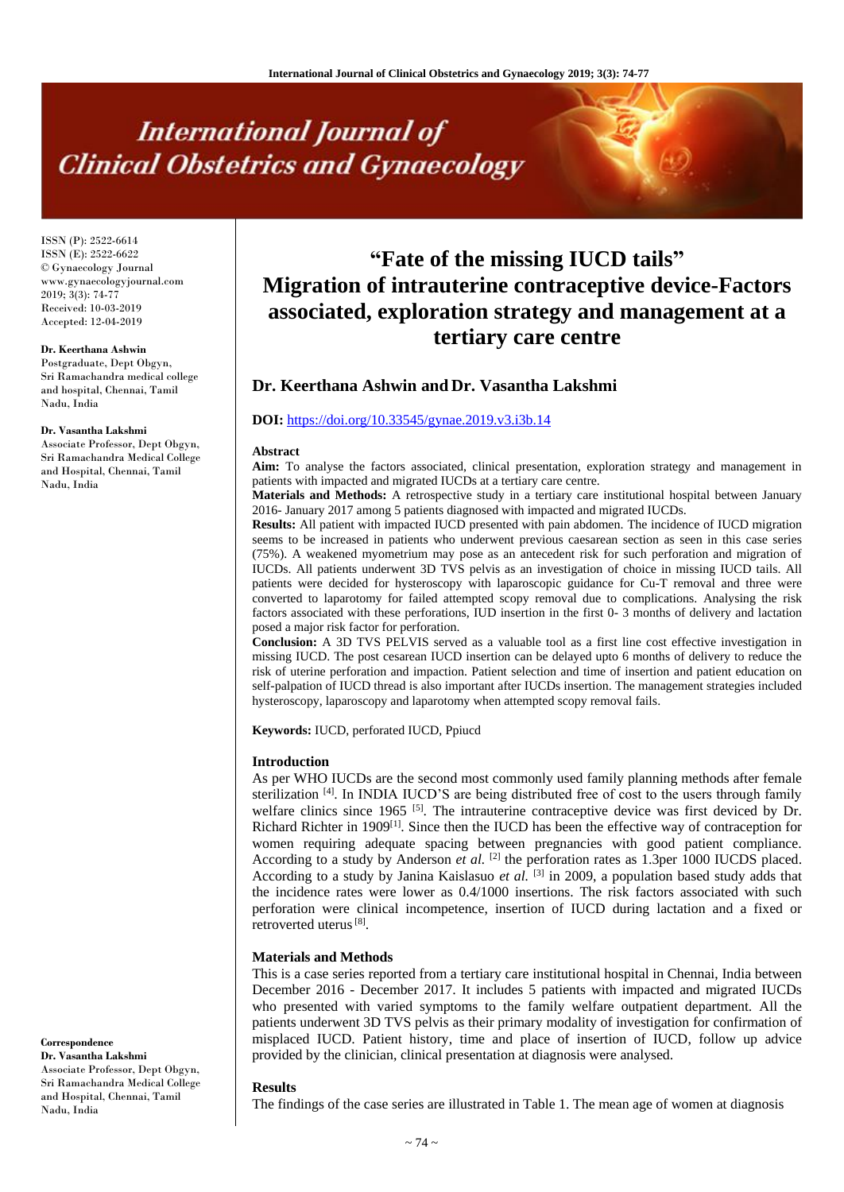# **International Journal of Clinical Obstetrics and Gynaecology**

ISSN (P): 2522-6614 ISSN (E): 2522-6622 © Gynaecology Journal www.gynaecologyjournal.com 2019; 3(3): 74-77 Received: 10-03-2019 Accepted: 12-04-2019

## **Dr. Keerthana Ashwin**

Postgraduate, Dept Obgyn, Sri Ramachandra medical college and hospital, Chennai, Tamil Nadu, India

#### **Dr. Vasantha Lakshmi**

Associate Professor, Dept Obgyn, Sri Ramachandra Medical College and Hospital, Chennai, Tamil Nadu, India

#### **Correspondence Dr. Vasantha Lakshmi**

Associate Professor, Dept Obgyn, Sri Ramachandra Medical College and Hospital, Chennai, Tamil Nadu, India

# **"Fate of the missing IUCD tails" Migration of intrauterine contraceptive device-Factors associated, exploration strategy and management at a tertiary care centre**

# **Dr. Keerthana Ashwin and Dr. Vasantha Lakshmi**

## **DOI:** <https://doi.org/10.33545/gynae.2019.v3.i3b.14>

#### **Abstract**

**Aim:** To analyse the factors associated, clinical presentation, exploration strategy and management in patients with impacted and migrated IUCDs at a tertiary care centre.

**Materials and Methods:** A retrospective study in a tertiary care institutional hospital between January 2016- January 2017 among 5 patients diagnosed with impacted and migrated IUCDs.

**Results:** All patient with impacted IUCD presented with pain abdomen. The incidence of IUCD migration seems to be increased in patients who underwent previous caesarean section as seen in this case series (75%). A weakened myometrium may pose as an antecedent risk for such perforation and migration of IUCDs. All patients underwent 3D TVS pelvis as an investigation of choice in missing IUCD tails. All patients were decided for hysteroscopy with laparoscopic guidance for Cu-T removal and three were converted to laparotomy for failed attempted scopy removal due to complications. Analysing the risk factors associated with these perforations, IUD insertion in the first 0- 3 months of delivery and lactation posed a major risk factor for perforation.

**Conclusion:** A 3D TVS PELVIS served as a valuable tool as a first line cost effective investigation in missing IUCD. The post cesarean IUCD insertion can be delayed upto 6 months of delivery to reduce the risk of uterine perforation and impaction. Patient selection and time of insertion and patient education on self-palpation of IUCD thread is also important after IUCDs insertion. The management strategies included hysteroscopy, laparoscopy and laparotomy when attempted scopy removal fails.

**Keywords:** IUCD, perforated IUCD, Ppiucd

#### **Introduction**

As per WHO IUCDs are the second most commonly used family planning methods after female sterilization <sup>[4]</sup>. In INDIA IUCD'S are being distributed free of cost to the users through family welfare clinics since  $1965$  <sup>[5]</sup>. The intrauterine contraceptive device was first deviced by Dr. Richard Richter in 1909<sup>[1]</sup>. Since then the IUCD has been the effective way of contraception for women requiring adequate spacing between pregnancies with good patient compliance. According to a study by Anderson *et al.* <sup>[2]</sup> the perforation rates as 1.3per 1000 IUCDS placed. According to a study by Janina Kaislasuo et al. <sup>[3]</sup> in 2009, a population based study adds that the incidence rates were lower as 0.4/1000 insertions. The risk factors associated with such perforation were clinical incompetence, insertion of IUCD during lactation and a fixed or retroverted uterus<sup>[8]</sup>.

# **Materials and Methods**

This is a case series reported from a tertiary care institutional hospital in Chennai, India between December 2016 - December 2017. It includes 5 patients with impacted and migrated IUCDs who presented with varied symptoms to the family welfare outpatient department. All the patients underwent 3D TVS pelvis as their primary modality of investigation for confirmation of misplaced IUCD. Patient history, time and place of insertion of IUCD, follow up advice provided by the clinician, clinical presentation at diagnosis were analysed.

#### **Results**

The findings of the case series are illustrated in Table 1. The mean age of women at diagnosis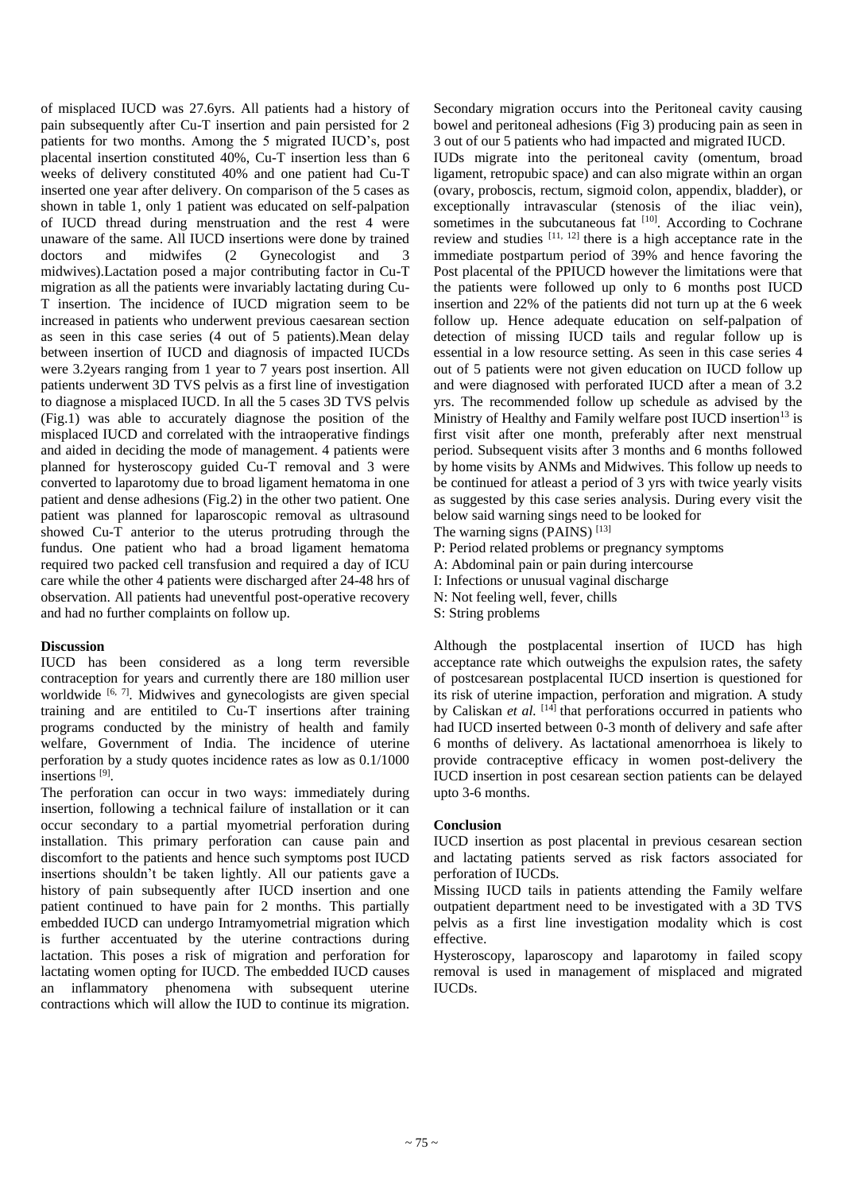of misplaced IUCD was 27.6yrs. All patients had a history of pain subsequently after Cu-T insertion and pain persisted for 2 patients for two months. Among the 5 migrated IUCD's, post placental insertion constituted 40%, Cu-T insertion less than 6 weeks of delivery constituted 40% and one patient had Cu-T inserted one year after delivery. On comparison of the 5 cases as shown in table 1, only 1 patient was educated on self-palpation of IUCD thread during menstruation and the rest 4 were unaware of the same. All IUCD insertions were done by trained doctors and midwifes (2 Gynecologist and midwives).Lactation posed a major contributing factor in Cu-T migration as all the patients were invariably lactating during Cu-T insertion. The incidence of IUCD migration seem to be increased in patients who underwent previous caesarean section as seen in this case series (4 out of 5 patients).Mean delay between insertion of IUCD and diagnosis of impacted IUCDs were 3.2years ranging from 1 year to 7 years post insertion. All patients underwent 3D TVS pelvis as a first line of investigation to diagnose a misplaced IUCD. In all the 5 cases 3D TVS pelvis (Fig.1) was able to accurately diagnose the position of the misplaced IUCD and correlated with the intraoperative findings and aided in deciding the mode of management. 4 patients were planned for hysteroscopy guided Cu-T removal and 3 were converted to laparotomy due to broad ligament hematoma in one patient and dense adhesions (Fig.2) in the other two patient. One patient was planned for laparoscopic removal as ultrasound showed Cu-T anterior to the uterus protruding through the fundus. One patient who had a broad ligament hematoma required two packed cell transfusion and required a day of ICU care while the other 4 patients were discharged after 24-48 hrs of observation. All patients had uneventful post-operative recovery and had no further complaints on follow up.

# **Discussion**

IUCD has been considered as a long term reversible contraception for years and currently there are 180 million user worldwide <sup>[6, 7]</sup>. Midwives and gynecologists are given special training and are entitiled to Cu-T insertions after training programs conducted by the ministry of health and family welfare, Government of India. The incidence of uterine perforation by a study quotes incidence rates as low as 0.1/1000 insertions [9] .

The perforation can occur in two ways: immediately during insertion, following a technical failure of installation or it can occur secondary to a partial myometrial perforation during installation. This primary perforation can cause pain and discomfort to the patients and hence such symptoms post IUCD insertions shouldn't be taken lightly. All our patients gave a history of pain subsequently after IUCD insertion and one patient continued to have pain for 2 months. This partially embedded IUCD can undergo Intramyometrial migration which is further accentuated by the uterine contractions during lactation. This poses a risk of migration and perforation for lactating women opting for IUCD. The embedded IUCD causes an inflammatory phenomena with subsequent uterine contractions which will allow the IUD to continue its migration.

Secondary migration occurs into the Peritoneal cavity causing bowel and peritoneal adhesions (Fig 3) producing pain as seen in 3 out of our 5 patients who had impacted and migrated IUCD.

IUDs migrate into the peritoneal cavity (omentum, broad ligament, retropubic space) and can also migrate within an organ (ovary, proboscis, rectum, sigmoid colon, appendix, bladder), or exceptionally intravascular (stenosis of the iliac vein), sometimes in the subcutaneous fat [10]. According to Cochrane review and studies  $[11, 12]$  there is a high acceptance rate in the immediate postpartum period of 39% and hence favoring the Post placental of the PPIUCD however the limitations were that the patients were followed up only to 6 months post IUCD insertion and 22% of the patients did not turn up at the 6 week follow up. Hence adequate education on self-palpation of detection of missing IUCD tails and regular follow up is essential in a low resource setting. As seen in this case series 4 out of 5 patients were not given education on IUCD follow up and were diagnosed with perforated IUCD after a mean of 3.2 yrs. The recommended follow up schedule as advised by the Ministry of Healthy and Family welfare post IUCD insertion<sup>13</sup> is first visit after one month, preferably after next menstrual period. Subsequent visits after 3 months and 6 months followed by home visits by ANMs and Midwives. This follow up needs to be continued for atleast a period of 3 yrs with twice yearly visits as suggested by this case series analysis. During every visit the below said warning sings need to be looked for

The warning signs (PAINS)  $^{[13]}$ 

P: Period related problems or pregnancy symptoms

A: Abdominal pain or pain during intercourse

I: Infections or unusual vaginal discharge

N: Not feeling well, fever, chills

S: String problems

Although the postplacental insertion of IUCD has high acceptance rate which outweighs the expulsion rates, the safety of postcesarean postplacental IUCD insertion is questioned for its risk of uterine impaction, perforation and migration. A study by Caliskan *et al.* <sup>[14]</sup> that perforations occurred in patients who had IUCD inserted between 0-3 month of delivery and safe after 6 months of delivery. As lactational amenorrhoea is likely to provide contraceptive efficacy in women post-delivery the IUCD insertion in post cesarean section patients can be delayed upto 3-6 months.

# **Conclusion**

IUCD insertion as post placental in previous cesarean section and lactating patients served as risk factors associated for perforation of IUCDs.

Missing IUCD tails in patients attending the Family welfare outpatient department need to be investigated with a 3D TVS pelvis as a first line investigation modality which is cost effective.

Hysteroscopy, laparoscopy and laparotomy in failed scopy removal is used in management of misplaced and migrated IUCDs.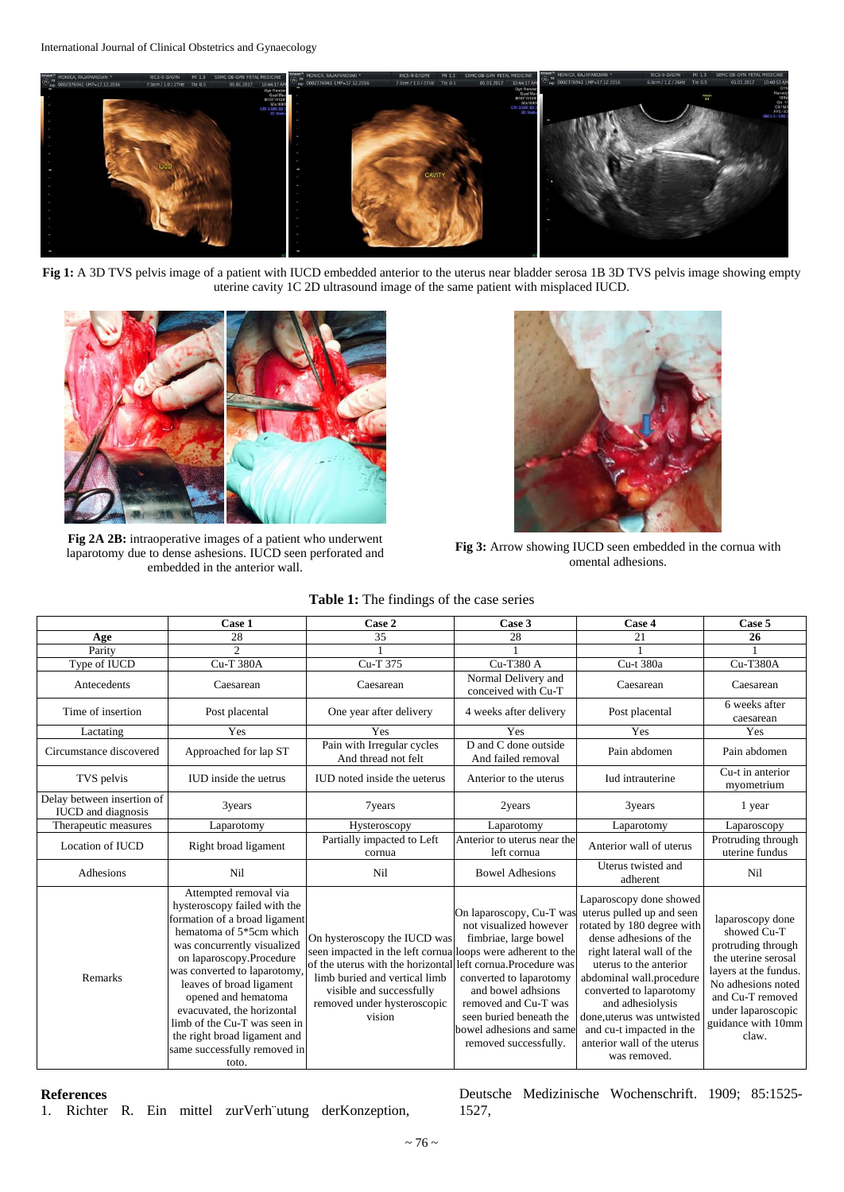

Fig 1: A 3D TVS pelvis image of a patient with IUCD embedded anterior to the uterus near bladder serosa 1B 3D TVS pelvis image showing empty uterine cavity 1C 2D ultrasound image of the same patient with misplaced IUCD.



**Fig 2A 2B:** intraoperative images of a patient who underwent laparotomy due to dense ashesions. IUCD seen perforated and embedded in the anterior wall.



**Fig 3:** Arrow showing IUCD seen embedded in the cornua with omental adhesions.

**Table 1:** The findings of the case series

|                                                         | Case 1                                                                                                                                                                                                                                                                                                                                                                                                | Case 2                                                                                                                                                                                                                                                             | Case 3                                                                                                                                                                                                                               | Case 4                                                                                                                                                                                                                                                                                                                                                  | Case 5                                                                                                                                                                                               |
|---------------------------------------------------------|-------------------------------------------------------------------------------------------------------------------------------------------------------------------------------------------------------------------------------------------------------------------------------------------------------------------------------------------------------------------------------------------------------|--------------------------------------------------------------------------------------------------------------------------------------------------------------------------------------------------------------------------------------------------------------------|--------------------------------------------------------------------------------------------------------------------------------------------------------------------------------------------------------------------------------------|---------------------------------------------------------------------------------------------------------------------------------------------------------------------------------------------------------------------------------------------------------------------------------------------------------------------------------------------------------|------------------------------------------------------------------------------------------------------------------------------------------------------------------------------------------------------|
| Age                                                     | 28                                                                                                                                                                                                                                                                                                                                                                                                    | 35                                                                                                                                                                                                                                                                 | 28                                                                                                                                                                                                                                   | 21                                                                                                                                                                                                                                                                                                                                                      | 26                                                                                                                                                                                                   |
| Parity                                                  | $\overline{\mathcal{L}}$                                                                                                                                                                                                                                                                                                                                                                              |                                                                                                                                                                                                                                                                    |                                                                                                                                                                                                                                      |                                                                                                                                                                                                                                                                                                                                                         |                                                                                                                                                                                                      |
| Type of IUCD                                            | <b>Cu-T 380A</b>                                                                                                                                                                                                                                                                                                                                                                                      | Cu-T 375                                                                                                                                                                                                                                                           | Cu-T380 A                                                                                                                                                                                                                            | Cu-t 380a                                                                                                                                                                                                                                                                                                                                               | <b>Cu-T380A</b>                                                                                                                                                                                      |
| Antecedents                                             | Caesarean                                                                                                                                                                                                                                                                                                                                                                                             | Caesarean                                                                                                                                                                                                                                                          | Normal Delivery and<br>conceived with Cu-T                                                                                                                                                                                           | Caesarean                                                                                                                                                                                                                                                                                                                                               | Caesarean                                                                                                                                                                                            |
| Time of insertion                                       | Post placental                                                                                                                                                                                                                                                                                                                                                                                        | One year after delivery                                                                                                                                                                                                                                            | 4 weeks after delivery                                                                                                                                                                                                               | Post placental                                                                                                                                                                                                                                                                                                                                          | 6 weeks after<br>caesarean                                                                                                                                                                           |
| Lactating                                               | Yes                                                                                                                                                                                                                                                                                                                                                                                                   | Yes                                                                                                                                                                                                                                                                | Yes                                                                                                                                                                                                                                  | Yes                                                                                                                                                                                                                                                                                                                                                     | Yes                                                                                                                                                                                                  |
| Circumstance discovered                                 | Approached for lap ST                                                                                                                                                                                                                                                                                                                                                                                 | Pain with Irregular cycles<br>And thread not felt                                                                                                                                                                                                                  | D and C done outside<br>And failed removal                                                                                                                                                                                           | Pain abdomen                                                                                                                                                                                                                                                                                                                                            | Pain abdomen                                                                                                                                                                                         |
| TVS pelvis                                              | IUD inside the uetrus                                                                                                                                                                                                                                                                                                                                                                                 | IUD noted inside the ueterus                                                                                                                                                                                                                                       | Anterior to the uterus                                                                                                                                                                                                               | <b>Iud</b> intrauterine                                                                                                                                                                                                                                                                                                                                 | Cu-t in anterior<br>myometrium                                                                                                                                                                       |
| Delay between insertion of<br><b>IUCD</b> and diagnosis | 3years                                                                                                                                                                                                                                                                                                                                                                                                | 7years                                                                                                                                                                                                                                                             | 2years                                                                                                                                                                                                                               | 3years                                                                                                                                                                                                                                                                                                                                                  | 1 year                                                                                                                                                                                               |
| Therapeutic measures                                    | Laparotomy                                                                                                                                                                                                                                                                                                                                                                                            | Hysteroscopy                                                                                                                                                                                                                                                       | Laparotomy                                                                                                                                                                                                                           | Laparotomy                                                                                                                                                                                                                                                                                                                                              | Laparoscopy                                                                                                                                                                                          |
| Location of IUCD                                        | Right broad ligament                                                                                                                                                                                                                                                                                                                                                                                  | Partially impacted to Left<br>cornua                                                                                                                                                                                                                               | Anterior to uterus near the<br>left cornua                                                                                                                                                                                           | Anterior wall of uterus                                                                                                                                                                                                                                                                                                                                 | Protruding through<br>uterine fundus                                                                                                                                                                 |
| Adhesions                                               | Nil                                                                                                                                                                                                                                                                                                                                                                                                   | Nil                                                                                                                                                                                                                                                                | <b>Bowel Adhesions</b>                                                                                                                                                                                                               | Uterus twisted and<br>adherent                                                                                                                                                                                                                                                                                                                          | Nil                                                                                                                                                                                                  |
| Remarks                                                 | Attempted removal via<br>hysteroscopy failed with the<br>formation of a broad ligament<br>hematoma of 5*5cm which<br>was concurrently visualized<br>on laparoscopy.Procedure<br>was converted to laparotomy<br>leaves of broad ligament<br>opened and hematoma<br>evacuvated, the horizontal<br>limb of the Cu-T was seen in<br>the right broad ligament and<br>same successfully removed in<br>toto. | On hysteroscopy the IUCD was<br>seen impacted in the left cornual loops were adherent to the<br>of the uterus with the horizontal left cornua. Procedure was<br>limb buried and vertical limb<br>visible and successfully<br>removed under hysteroscopic<br>vision | On laparoscopy, Cu-T was<br>not visualized however<br>fimbriae, large bowel<br>converted to laparotomy<br>and bowel adhsions<br>removed and Cu-T was<br>seen buried beneath the<br>bowel adhesions and same<br>removed successfully. | Laparoscopy done showed<br>uterus pulled up and seen<br>rotated by 180 degree with<br>dense adhesions of the<br>right lateral wall of the<br>uterus to the anterior<br>abdominal wall.procedure<br>converted to laparotomy<br>and adhesiolysis<br>done, uterus was untwisted<br>and cu-t impacted in the<br>anterior wall of the uterus<br>was removed. | laparoscopy done<br>showed Cu-T<br>protruding through<br>the uterine serosal<br>layers at the fundus.<br>No adhesions noted<br>and Cu-T removed<br>under laparoscopic<br>guidance with 10mm<br>claw. |

**References**

1. Richter R. Ein mittel zurVerh¨utung derKonzeption,

Deutsche Medizinische Wochenschrift. 1909; 85:1525- 1527,